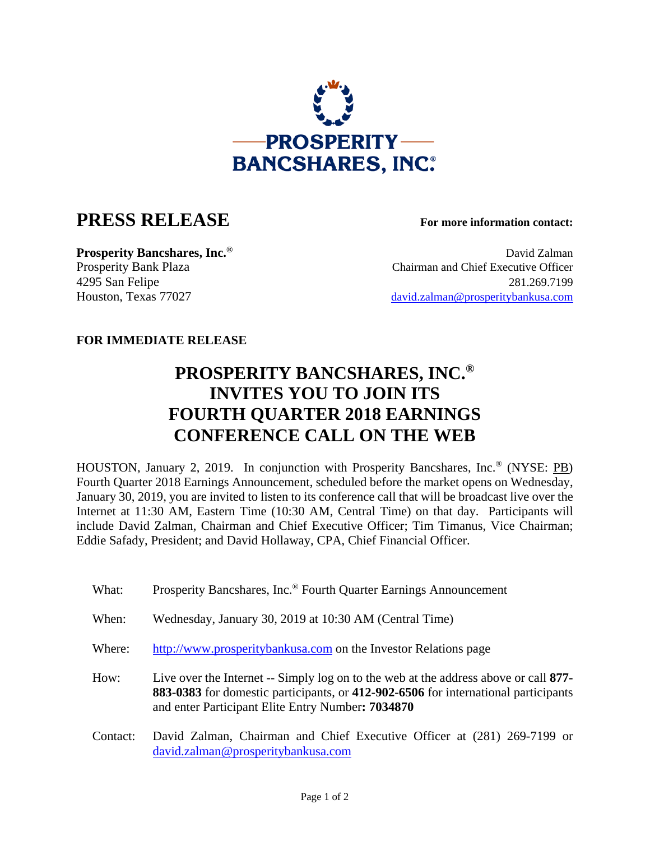

## **PRESS RELEASE For more information contact:**

**Prosperity Bancshares, Inc.<sup>®</sup> David Zalman** Prosperity Bank Plaza Chairman and Chief Executive Officer 4295 San Felipe 281.269.7199 Houston, Texas 77027 david.zalman@prosperitybankusa.com

## **FOR IMMEDIATE RELEASE**

## **PROSPERITY BANCSHARES, INC.® INVITES YOU TO JOIN ITS FOURTH QUARTER 2018 EARNINGS CONFERENCE CALL ON THE WEB**

HOUSTON, January 2, 2019. In conjunction with Prosperity Bancshares, Inc.® (NYSE: PB) Fourth Quarter 2018 Earnings Announcement, scheduled before the market opens on Wednesday, January 30, 2019, you are invited to listen to its conference call that will be broadcast live over the Internet at 11:30 AM, Eastern Time (10:30 AM, Central Time) on that day. Participants will include David Zalman, Chairman and Chief Executive Officer; Tim Timanus, Vice Chairman; Eddie Safady, President; and David Hollaway, CPA, Chief Financial Officer.

- What: Prosperity Bancshares, Inc.<sup>®</sup> Fourth Quarter Earnings Announcement
- When: Wednesday, January 30, 2019 at 10:30 AM (Central Time)
- Where: http://www.prosperitybankusa.com on the Investor Relations page

 How: Live over the Internet -- Simply log on to the web at the address above or call **877- 883-0383** for domestic participants, or **412-902-6506** for international participants and enter Participant Elite Entry Number**: 7034870**

 Contact: David Zalman, Chairman and Chief Executive Officer at (281) 269-7199 or david.zalman@prosperitybankusa.com